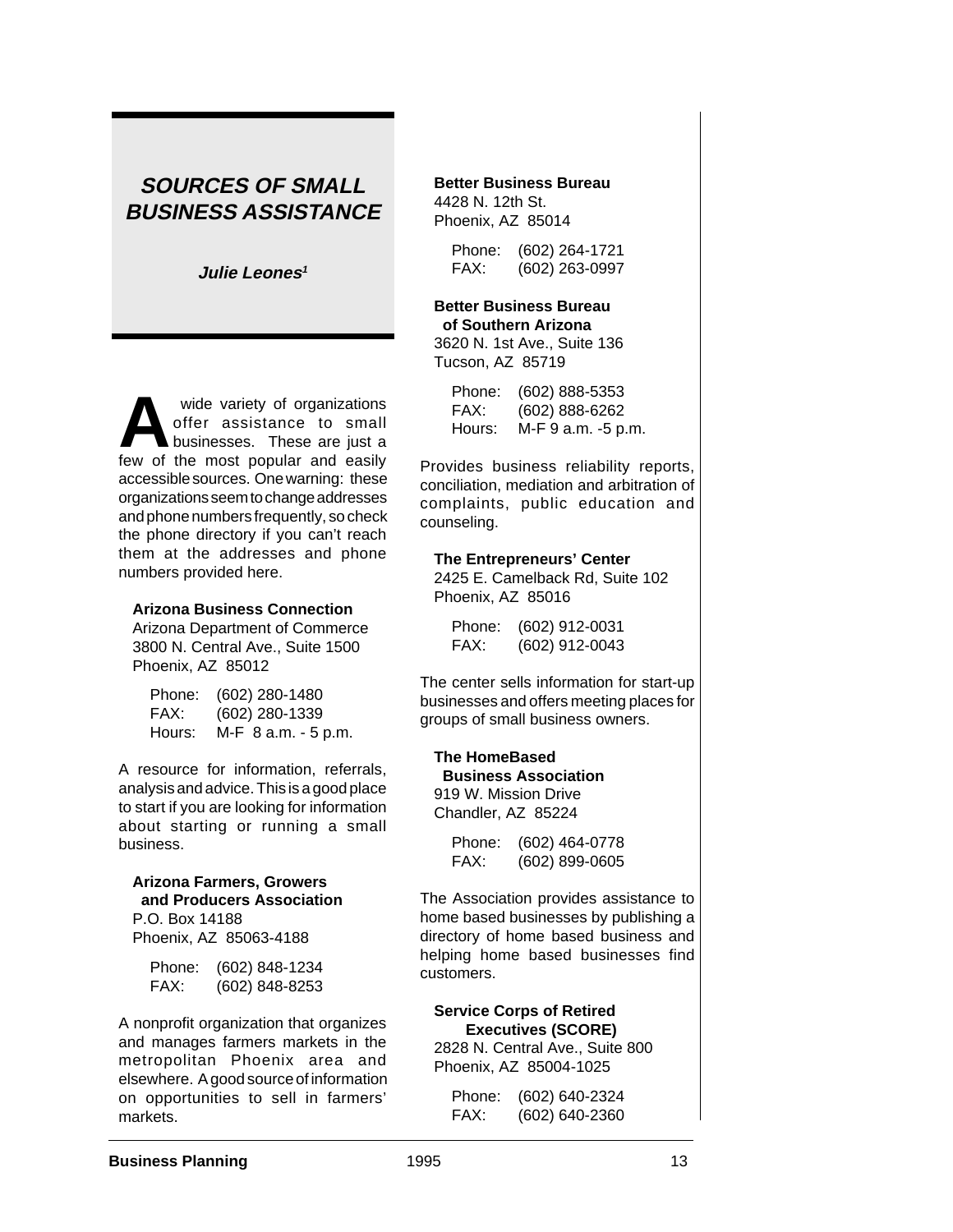# **SOURCES OF SMALL BUSINESS ASSISTANCE**

**Julie Leones<sup>1</sup>**

wide variety of organizations<br>
offer assistance to small<br>
businesses. These are just a<br>
few of the most popular and easily offer assistance to small few of the most popular and easily accessible sources. One warning: these organizations seem to change addresses and phone numbers frequently, so check the phone directory if you can't reach them at the addresses and phone numbers provided here.

#### **Arizona Business Connection**

Arizona Department of Commerce 3800 N. Central Ave., Suite 1500 Phoenix, AZ 85012

| Phone: | (602) 280-1480      |
|--------|---------------------|
| FAX:   | (602) 280-1339      |
| Hours: | M-F 8 a.m. - 5 p.m. |

A resource for information, referrals, analysis and advice. This is a good place to start if you are looking for information about starting or running a small business.

# **Arizona Farmers, Growers and Producers Association** P.O. Box 14188

Phoenix, AZ 85063-4188

| Phone: | (602) 848-1234 |
|--------|----------------|
| FAX:   | (602) 848-8253 |

A nonprofit organization that organizes and manages farmers markets in the metropolitan Phoenix area and elsewhere. A good source of information on opportunities to sell in farmers' markets.

#### **Better Business Bureau** 4428 N. 12th St. Phoenix, AZ 85014

Phone: (602) 264-1721 FAX: (602) 263-0997

#### **Better Business Bureau of Southern Arizona** 3620 N. 1st Ave., Suite 136

Tucson, AZ 85719

| Phone: | (602) 888-5353     |
|--------|--------------------|
| FAX:   | (602) 888-6262     |
| Hours: | M-F 9 a.m. -5 p.m. |

Provides business reliability reports, conciliation, mediation and arbitration of complaints, public education and counseling.

#### **The Entrepreneurs' Center**

2425 E. Camelback Rd, Suite 102 Phoenix, AZ 85016

| Phone: | $(602)$ 912-0031 |
|--------|------------------|
| FAX:   | $(602)$ 912-0043 |

The center sells information for start-up businesses and offers meeting places for groups of small business owners.

### **The HomeBased Business Association**

919 W. Mission Drive Chandler, AZ 85224

> Phone: (602) 464-0778 FAX: (602) 899-0605

The Association provides assistance to home based businesses by publishing a directory of home based business and helping home based businesses find customers.

# **Service Corps of Retired Executives (SCORE)**

2828 N. Central Ave., Suite 800 Phoenix, AZ 85004-1025

Phone: (602) 640-2324 FAX: (602) 640-2360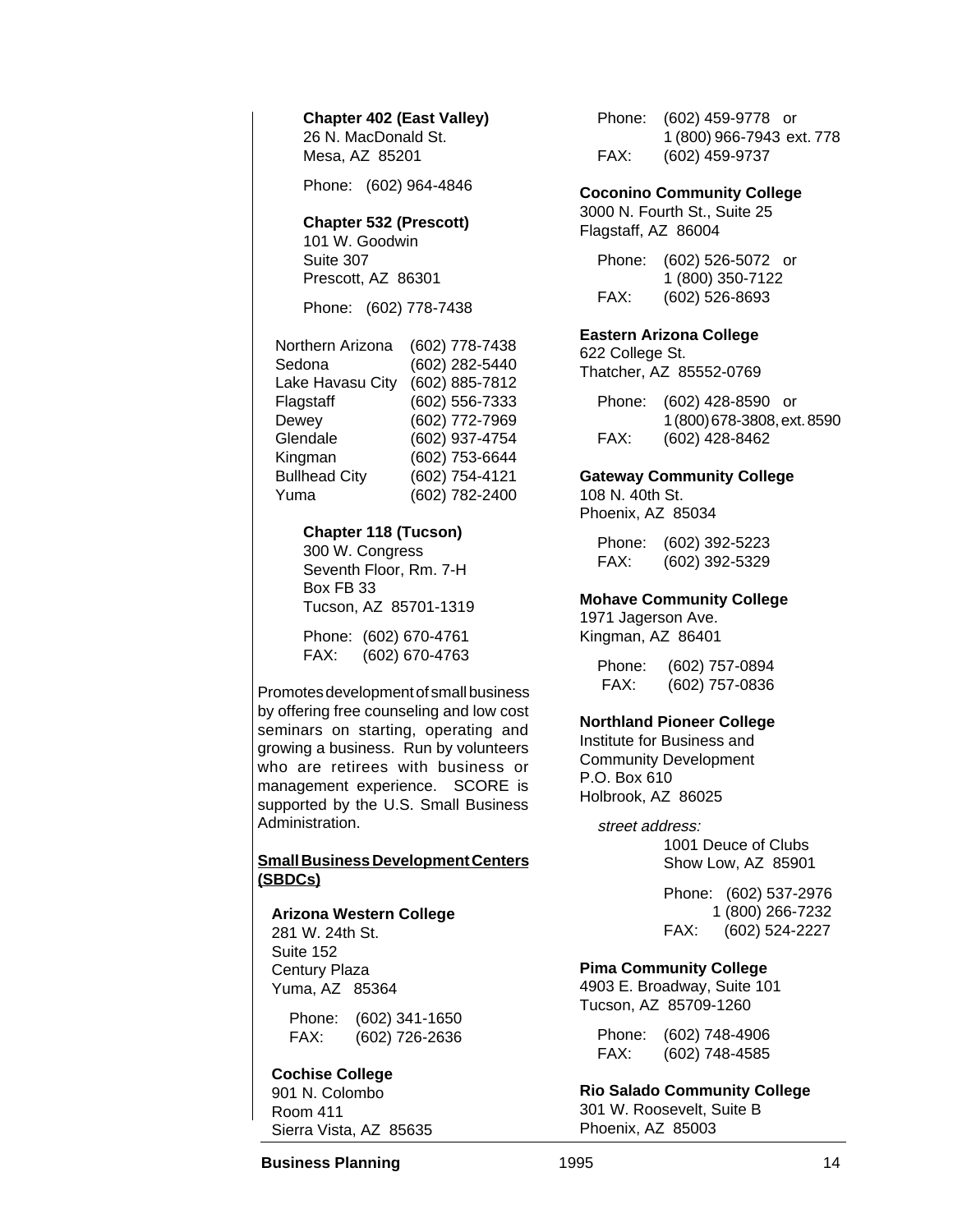### **Chapter 402 (East Valley)** 26 N. MacDonald St.

Mesa, AZ 85201

Phone: (602) 964-4846

# **Chapter 532 (Prescott)**

101 W. Goodwin Suite 307 Prescott, AZ 86301

Phone: (602) 778-7438

| Northern Arizona     | (602) 778-7438 |
|----------------------|----------------|
| Sedona               | (602) 282-5440 |
| Lake Havasu City     | (602) 885-7812 |
| Flagstaff            | (602) 556-7333 |
| Dewey                | (602) 772-7969 |
| Glendale             | (602) 937-4754 |
| Kingman              | (602) 753-6644 |
| <b>Bullhead City</b> | (602) 754-4121 |
| Yuma                 | (602) 782-2400 |

### **Chapter 118 (Tucson)**

300 W. Congress Seventh Floor, Rm. 7-H Box FB 33 Tucson, AZ 85701-1319

Phone: (602) 670-4761 FAX: (602) 670-4763

Promotes development of small business by offering free counseling and low cost seminars on starting, operating and growing a business. Run by volunteers who are retirees with business or management experience. SCORE is supported by the U.S. Small Business Administration.

# **Small Business Development Centers (SBDCs)**

### **Arizona Western College**

281 W. 24th St. Suite 152 Century Plaza Yuma, AZ 85364

> Phone: (602) 341-1650 FAX: (602) 726-2636

**Cochise College** 901 N. Colombo Room 411 Sierra Vista, AZ 85635 Phone: (602) 459-9778 or 1 (800) 966-7943 ext. 778 FAX: (602) 459-9737

### **Coconino Community College**

3000 N. Fourth St., Suite 25 Flagstaff, AZ 86004

| Phone: | (602) 526-5072 or |  |
|--------|-------------------|--|
|        | 1 (800) 350-7122  |  |
| FAX:   | (602) 526-8693    |  |

### **Eastern Arizona College**

622 College St. Thatcher, AZ 85552-0769

Phone: (602) 428-8590 or 1 (800) 678-3808, ext. 8590 FAX: (602) 428-8462

### **Gateway Community College**

108 N. 40th St. Phoenix, AZ 85034

> Phone: (602) 392-5223 FAX: (602) 392-5329

### **Mohave Community College**

1971 Jagerson Ave. Kingman, AZ 86401

> Phone: (602) 757-0894 FAX: (602) 757-0836

### **Northland Pioneer College**

Institute for Business and Community Development P.O. Box 610 Holbrook, AZ 86025

> street address: 1001 Deuce of Clubs Show Low, AZ 85901

> > Phone: (602) 537-2976 1 (800) 266-7232 FAX: (602) 524-2227

### **Pima Community College**

4903 E. Broadway, Suite 101 Tucson, AZ 85709-1260

Phone: (602) 748-4906 FAX: (602) 748-4585

**Rio Salado Community College** 301 W. Roosevelt, Suite B Phoenix, AZ 85003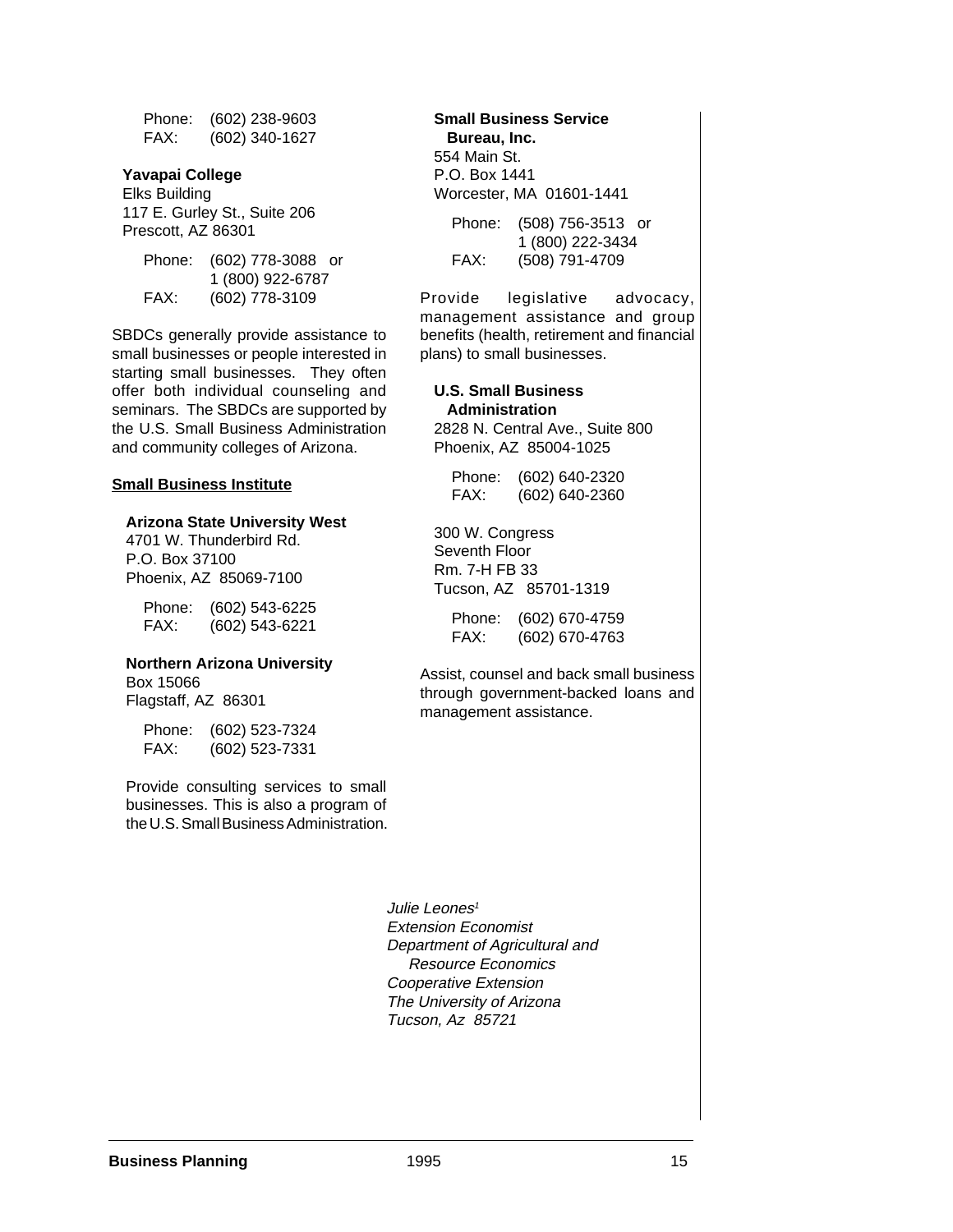Phone: (602) 238-9603 FAX: (602) 340-1627

#### **Yavapai College**

Elks Building 117 E. Gurley St., Suite 206 Prescott, AZ 86301

| Phone: | (602) 778-3088 or |  |
|--------|-------------------|--|
|        | 1 (800) 922-6787  |  |
| FAX:   | (602) 778-3109    |  |

SBDCs generally provide assistance to small businesses or people interested in starting small businesses. They often offer both individual counseling and seminars. The SBDCs are supported by the U.S. Small Business Administration and community colleges of Arizona.

#### **Small Business Institute**

#### **Arizona State University West**

4701 W. Thunderbird Rd. P.O. Box 37100 Phoenix, AZ 85069-7100

Phone: (602) 543-6225 FAX: (602) 543-6221

#### **Northern Arizona University**

Box 15066 Flagstaff, AZ 86301

> Phone: (602) 523-7324 FAX: (602) 523-7331

Provide consulting services to small businesses. This is also a program of the U.S. Small Business Administration.

**Small Business Service Bureau, Inc.** 554 Main St. P.O. Box 1441 Worcester, MA 01601-1441

Phone: (508) 756-3513 or 1 (800) 222-3434 FAX: (508) 791-4709

Provide legislative advocacy, management assistance and group benefits (health, retirement and financial plans) to small businesses.

#### **U.S. Small Business Administration**

2828 N. Central Ave., Suite 800 Phoenix, AZ 85004-1025

| Phone: | (602) 640-2320 |
|--------|----------------|
| FAX:   | (602) 640-2360 |

300 W. Congress Seventh Floor Rm. 7-H FB 33 Tucson, AZ 85701-1319

Phone: (602) 670-4759 FAX: (602) 670-4763

Assist, counsel and back small business through government-backed loans and management assistance.

Julie Leones<sup>1</sup> Extension Economist Department of Agricultural and Resource Economics Cooperative Extension The University of Arizona Tucson, Az 85721